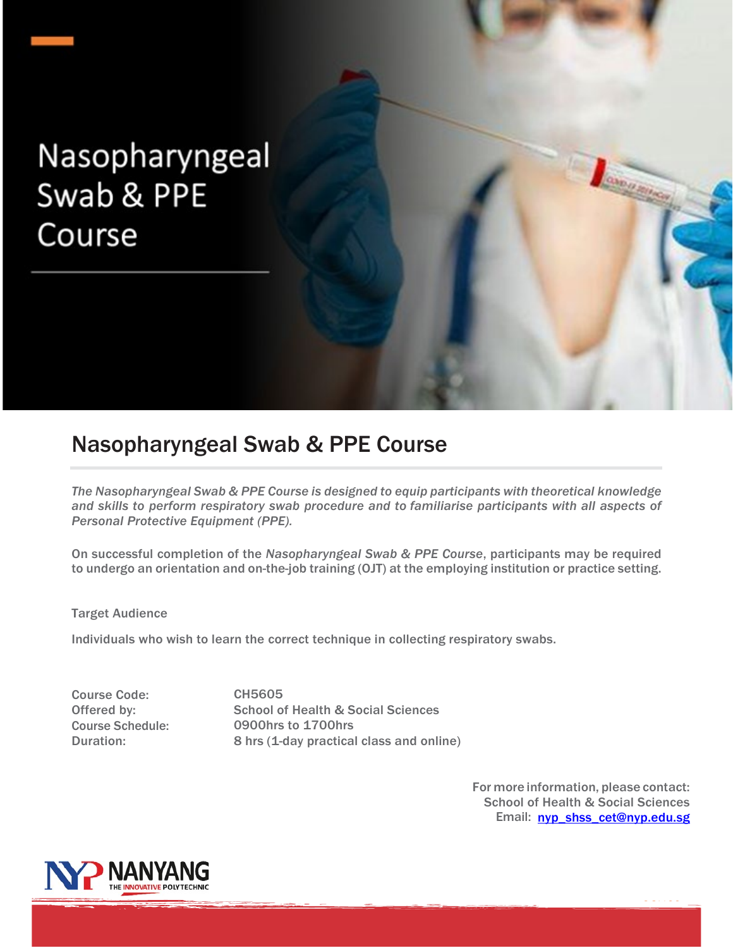# Nasopharyngeal Swab & PPE Course

### Nasopharyngeal Swab & PPE Course

*The Nasopharyngeal Swab & PPE Course is designed to equip participants with theoretical knowledge and skills to perform respiratory swab procedure and to familiarise participants with all aspects of Personal Protective Equipment (PPE).*

On successful completion of the *Nasopharyngeal Swab & PPE Course*, participants may be required to undergo an orientation and on-the-job training (OJT) at the employing institution or practice setting.

#### Target Audience

Individuals who wish to learn the correct technique in collecting respiratory swabs.

Course Code: Offered by: Course Schedule: Duration:

CH5605 School of Health & Social Sciences 0900hrs to 1700hrs 8 hrs (1-day practical class and online)

> For more information, please contact: School of Health & Social Sciences Email: [nyp\\_shss\\_cet@nyp.edu.sg](mailto:nyp_shss_cet@nyp.edu.sg)



**CONTRACTOR**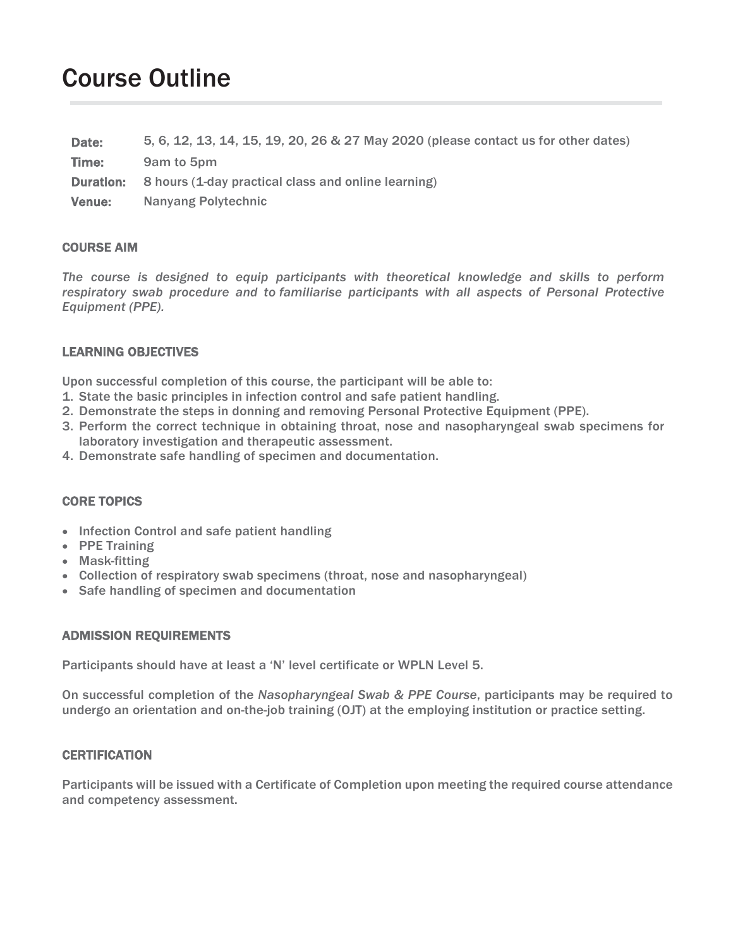## Course Outline

| Date:            | 5, 6, 12, 13, 14, 15, 19, 20, 26 & 27 May 2020 (please contact us for other dates) |  |
|------------------|------------------------------------------------------------------------------------|--|
| Time:            | 9am to 5pm                                                                         |  |
| <b>Duration:</b> | 8 hours (1-day practical class and online learning)                                |  |
| <b>Venue:</b>    | <b>Nanyang Polytechnic</b>                                                         |  |
|                  |                                                                                    |  |

#### COURSE AIM

*The course is designed to equip participants with theoretical knowledge and skills to perform respiratory swab procedure and to familiarise participants with all aspects of Personal Protective Equipment (PPE).*

#### LEARNING OBJECTIVES

Upon successful completion of this course, the participant will be able to:

- 1. State the basic principles in infection control and safe patient handling.
- 2. Demonstrate the steps in donning and removing Personal Protective Equipment (PPE).
- 3. Perform the correct technique in obtaining throat, nose and nasopharyngeal swab specimens for laboratory investigation and therapeutic assessment.
- 4. Demonstrate safe handling of specimen and documentation.

#### CORE TOPICS

- Infection Control and safe patient handling
- PPE Training
- Mask-fitting
- Collection of respiratory swab specimens (throat, nose and nasopharyngeal)
- Safe handling of specimen and documentation

#### ADMISSION REQUIREMENTS

Participants should have at least a 'N' level certificate or WPLN Level 5.

On successful completion of the *Nasopharyngeal Swab & PPE Course*, participants may be required to undergo an orientation and on-the-job training (OJT) at the employing institution or practice setting.

#### **CERTIFICATION**

Participants will be issued with a Certificate of Completion upon meeting the required course attendance and competency assessment.